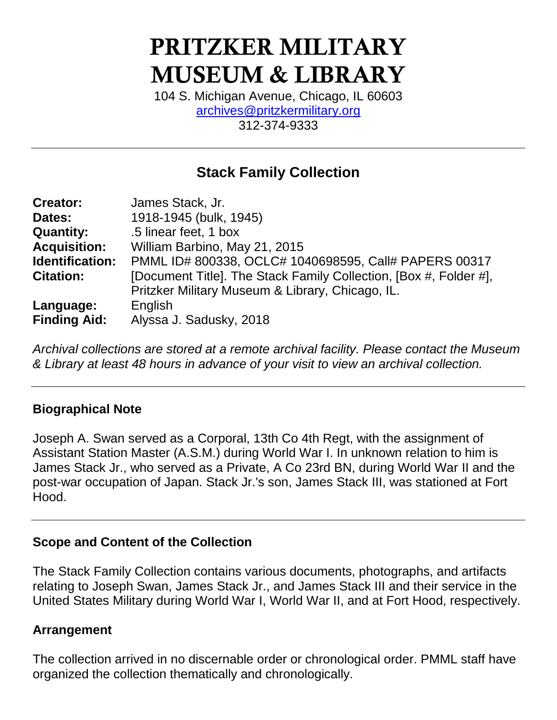# **PRITZKER MILITARY MUSEUM & LIBRARY**

104 S. Michigan Avenue, Chicago, IL 60603 [archives@pritzkermilitary.org](mailto:archives@pritzkermilitary.org) 312-374-9333

## **Stack Family Collection**

| <b>Creator:</b>     | James Stack, Jr.                                                  |
|---------------------|-------------------------------------------------------------------|
| Dates:              | 1918-1945 (bulk, 1945)                                            |
| <b>Quantity:</b>    | .5 linear feet, 1 box                                             |
| <b>Acquisition:</b> | William Barbino, May 21, 2015                                     |
| Identification:     | PMML ID# 800338, OCLC# 1040698595, Call# PAPERS 00317             |
| <b>Citation:</b>    | [Document Title]. The Stack Family Collection, [Box #, Folder #], |
|                     | Pritzker Military Museum & Library, Chicago, IL.                  |
| Language:           | English                                                           |
| <b>Finding Aid:</b> | Alyssa J. Sadusky, 2018                                           |

*Archival collections are stored at a remote archival facility. Please contact the Museum & Library at least 48 hours in advance of your visit to view an archival collection.*

## **Biographical Note**

Joseph A. Swan served as a Corporal, 13th Co 4th Regt, with the assignment of Assistant Station Master (A.S.M.) during World War I. In unknown relation to him is James Stack Jr., who served as a Private, A Co 23rd BN, during World War II and the post-war occupation of Japan. Stack Jr.'s son, James Stack III, was stationed at Fort Hood.

### **Scope and Content of the Collection**

The Stack Family Collection contains various documents, photographs, and artifacts relating to Joseph Swan, James Stack Jr., and James Stack III and their service in the United States Military during World War I, World War II, and at Fort Hood, respectively.

### **Arrangement**

The collection arrived in no discernable order or chronological order. PMML staff have organized the collection thematically and chronologically.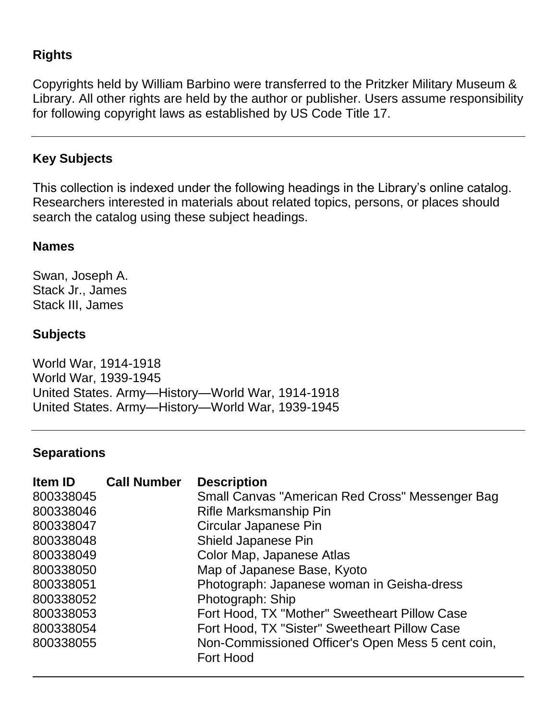## **Rights**

Copyrights held by William Barbino were transferred to the Pritzker Military Museum & Library. All other rights are held by the author or publisher. Users assume responsibility for following copyright laws as established by US Code Title 17.

## **Key Subjects**

This collection is indexed under the following headings in the Library's online catalog. Researchers interested in materials about related topics, persons, or places should search the catalog using these subject headings.

#### **Names**

Swan, Joseph A. Stack Jr., James Stack III, James

## **Subjects**

World War, 1914-1918 World War, 1939-1945 United States. Army—History—World War, 1914-1918 United States. Army—History—World War, 1939-1945

#### **Separations**

| <b>Item ID</b> | <b>Call Number</b> | <b>Description</b>                                |
|----------------|--------------------|---------------------------------------------------|
| 800338045      |                    | Small Canvas "American Red Cross" Messenger Bag   |
| 800338046      |                    | Rifle Marksmanship Pin                            |
| 800338047      |                    | Circular Japanese Pin                             |
| 800338048      |                    | Shield Japanese Pin                               |
| 800338049      |                    | Color Map, Japanese Atlas                         |
| 800338050      |                    | Map of Japanese Base, Kyoto                       |
| 800338051      |                    | Photograph: Japanese woman in Geisha-dress        |
| 800338052      |                    | Photograph: Ship                                  |
| 800338053      |                    | Fort Hood, TX "Mother" Sweetheart Pillow Case     |
| 800338054      |                    | Fort Hood, TX "Sister" Sweetheart Pillow Case     |
| 800338055      |                    | Non-Commissioned Officer's Open Mess 5 cent coin, |
|                |                    | <b>Fort Hood</b>                                  |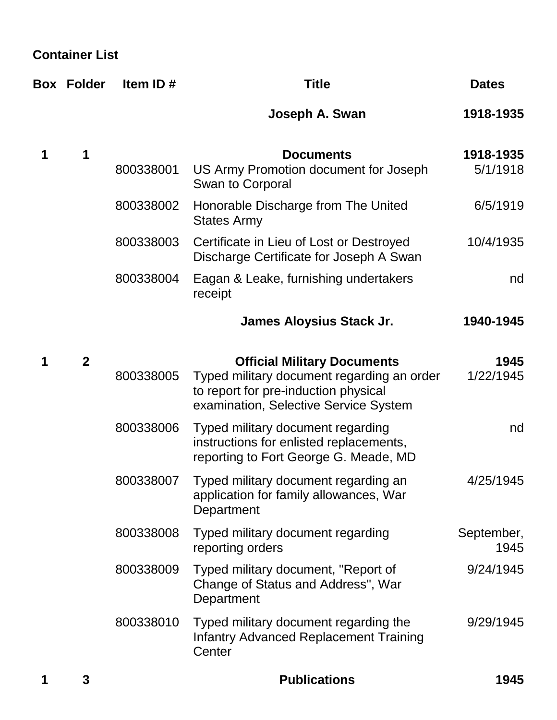**Container List**

|   | <b>Box Folder</b> | Item ID#  | <b>Title</b>                                                                                                                                                      | <b>Dates</b>          |
|---|-------------------|-----------|-------------------------------------------------------------------------------------------------------------------------------------------------------------------|-----------------------|
|   |                   |           | Joseph A. Swan                                                                                                                                                    | 1918-1935             |
| 1 | 1                 | 800338001 | <b>Documents</b><br>US Army Promotion document for Joseph<br>Swan to Corporal                                                                                     | 1918-1935<br>5/1/1918 |
|   |                   | 800338002 | Honorable Discharge from The United<br><b>States Army</b>                                                                                                         | 6/5/1919              |
|   |                   | 800338003 | Certificate in Lieu of Lost or Destroyed<br>Discharge Certificate for Joseph A Swan                                                                               | 10/4/1935             |
|   |                   | 800338004 | Eagan & Leake, furnishing undertakers<br>receipt                                                                                                                  | nd                    |
|   |                   |           | <b>James Aloysius Stack Jr.</b>                                                                                                                                   | 1940-1945             |
| 1 | $\mathbf{2}$      | 800338005 | <b>Official Military Documents</b><br>Typed military document regarding an order<br>to report for pre-induction physical<br>examination, Selective Service System | 1945<br>1/22/1945     |
|   |                   | 800338006 | Typed military document regarding<br>instructions for enlisted replacements,<br>reporting to Fort George G. Meade, MD                                             | nd                    |
|   |                   | 800338007 | Typed military document regarding an<br>application for family allowances, War<br>Department                                                                      | 4/25/1945             |
|   |                   | 800338008 | Typed military document regarding<br>reporting orders                                                                                                             | September,<br>1945    |
|   |                   | 800338009 | Typed military document, "Report of<br>Change of Status and Address", War<br>Department                                                                           | 9/24/1945             |
|   |                   | 800338010 | Typed military document regarding the<br><b>Infantry Advanced Replacement Training</b><br>Center                                                                  | 9/29/1945             |
|   | 3                 |           | <b>Publications</b>                                                                                                                                               | 1945                  |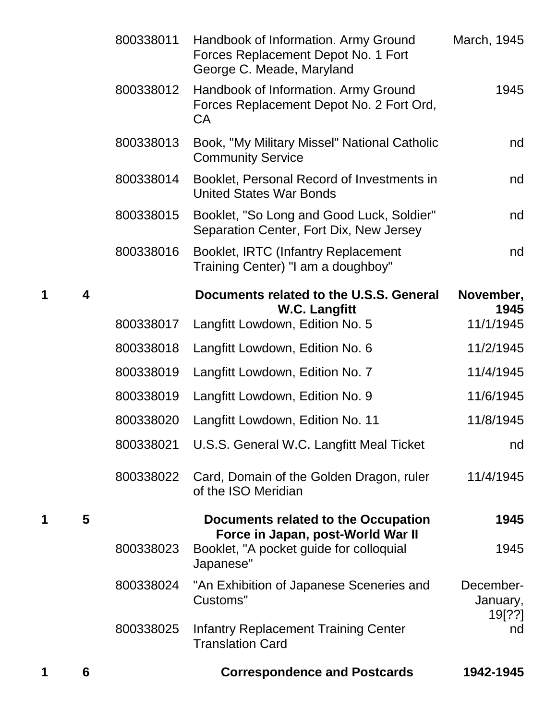| 1 | 6                       |           | <b>Correspondence and Postcards</b>                                                                      | 1942-1945             |
|---|-------------------------|-----------|----------------------------------------------------------------------------------------------------------|-----------------------|
|   |                         | 800338025 | <b>Infantry Replacement Training Center</b><br><b>Translation Card</b>                                   | 19[??]<br>nd          |
|   |                         | 800338024 | "An Exhibition of Japanese Sceneries and<br>Customs"                                                     | December-<br>January, |
|   |                         | 800338023 | Booklet, "A pocket guide for colloquial<br>Japanese"                                                     | 1945                  |
| 1 | 5                       |           | <b>Documents related to the Occupation</b><br>Force in Japan, post-World War II                          | 1945                  |
|   |                         | 800338022 | Card, Domain of the Golden Dragon, ruler<br>of the ISO Meridian                                          | 11/4/1945             |
|   |                         | 800338021 | U.S.S. General W.C. Langfitt Meal Ticket                                                                 | nd                    |
|   |                         | 800338020 | Langfitt Lowdown, Edition No. 11                                                                         | 11/8/1945             |
|   |                         | 800338019 | Langfitt Lowdown, Edition No. 9                                                                          | 11/6/1945             |
|   |                         | 800338019 | Langfitt Lowdown, Edition No. 7                                                                          | 11/4/1945             |
|   |                         | 800338018 | Langfitt Lowdown, Edition No. 6                                                                          | 11/2/1945             |
|   |                         | 800338017 | <b>W.C. Langfitt</b><br>Langfitt Lowdown, Edition No. 5                                                  | 1945<br>11/1/1945     |
| 1 | $\overline{\mathbf{4}}$ |           | Documents related to the U.S.S. General                                                                  | November,             |
|   |                         | 800338016 | Booklet, IRTC (Infantry Replacement<br>Training Center) "I am a doughboy"                                | nd                    |
|   |                         | 800338015 | Booklet, "So Long and Good Luck, Soldier"<br>Separation Center, Fort Dix, New Jersey                     | nd                    |
|   |                         | 800338014 | Booklet, Personal Record of Investments in<br><b>United States War Bonds</b>                             | nd                    |
|   |                         | 800338013 | Book, "My Military Missel" National Catholic<br><b>Community Service</b>                                 | nd                    |
|   |                         | 800338012 | Handbook of Information. Army Ground<br>Forces Replacement Depot No. 2 Fort Ord,<br><b>CA</b>            | 1945                  |
|   |                         | 800338011 | Handbook of Information. Army Ground<br>Forces Replacement Depot No. 1 Fort<br>George C. Meade, Maryland | March, 1945           |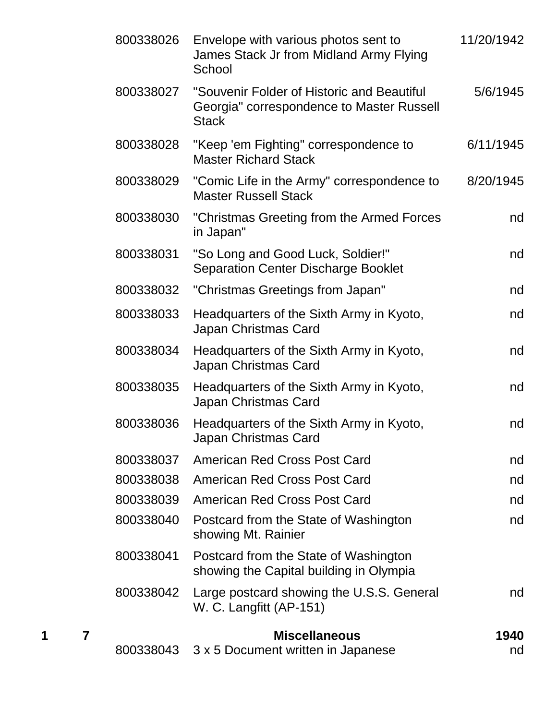| 800338026 | Envelope with various photos sent to<br>James Stack Jr from Midland Army Flying<br>School               | 11/20/1942 |
|-----------|---------------------------------------------------------------------------------------------------------|------------|
| 800338027 | "Souvenir Folder of Historic and Beautiful<br>Georgia" correspondence to Master Russell<br><b>Stack</b> | 5/6/1945   |
| 800338028 | "Keep 'em Fighting" correspondence to<br><b>Master Richard Stack</b>                                    | 6/11/1945  |
| 800338029 | "Comic Life in the Army" correspondence to<br><b>Master Russell Stack</b>                               | 8/20/1945  |
| 800338030 | "Christmas Greeting from the Armed Forces"<br>in Japan"                                                 | nd         |
| 800338031 | "So Long and Good Luck, Soldier!"<br><b>Separation Center Discharge Booklet</b>                         | nd         |
| 800338032 | "Christmas Greetings from Japan"                                                                        | nd         |
| 800338033 | Headquarters of the Sixth Army in Kyoto,<br>Japan Christmas Card                                        | nd         |
| 800338034 | Headquarters of the Sixth Army in Kyoto,<br>Japan Christmas Card                                        | nd         |
| 800338035 | Headquarters of the Sixth Army in Kyoto,<br>Japan Christmas Card                                        | nd         |
| 800338036 | Headquarters of the Sixth Army in Kyoto,<br>Japan Christmas Card                                        | nd         |
| 800338037 | <b>American Red Cross Post Card</b>                                                                     | nd         |
| 800338038 | <b>American Red Cross Post Card</b>                                                                     | nd         |
| 800338039 | <b>American Red Cross Post Card</b>                                                                     | nd         |
| 800338040 | Postcard from the State of Washington<br>showing Mt. Rainier                                            | nd         |
| 800338041 | Postcard from the State of Washington<br>showing the Capital building in Olympia                        |            |
| 800338042 | Large postcard showing the U.S.S. General<br>W. C. Langfitt (AP-151)                                    | nd         |
| 800338043 | <b>Miscellaneous</b><br>3 x 5 Document written in Japanese                                              | 1940<br>nd |

**1 7 Miscellaneous 1940**